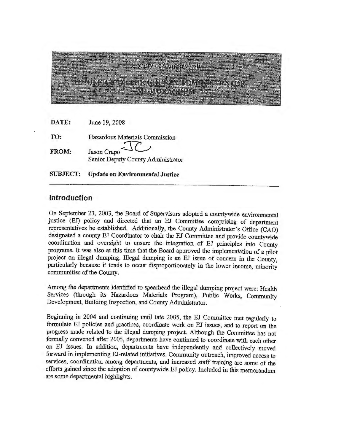# County of Contra Costa HIGE OF THE COUNTY ADVIETS TRAITER <u>ny friv for a vedelity i</u>

| DATE: | June 19, 2008                                     |
|-------|---------------------------------------------------|
| TO:   | Hazardous Materials Commission                    |
| FROM: | Jason Crapo<br>Senior Deputy County Administrator |
|       |                                                   |

**SUBJECT: Update on Environmental Justice** 

## **Introduction**

On September 23, 2003, the Board of Supervisors adopted a countywide environmental justice (EJ) policy and directed that an EJ Committee comprising of department representatives be established. Additionally, the County Administrator's Office (CAO) designated a county EJ Coordinator to chair the EJ Committee and provide countywide coordination and oversight to ensure the integration of EJ principles into County programs. It was also at this time that the Board approved the implementation of a pilot project on illegal dumping. Illegal dumping is an EJ issue of concern in the County, particularly because it tends to occur disproportionately in the lower income, minority communities of the County.

Among the departments identified to spearhead the illegal dumping project were: Health Services (through its Hazardous Materials Program), Public Works, Community Development, Building Inspection, and County Administrator.

Beginning in 2004 and continuing until late 2005, the EJ Committee met regularly to formulate EJ policies and practices, coordinate work on EJ issues, and to report on the progress made related to the illegal dumping project. Although the Committee has not formally convened after 2005, departments have continued to coordinate with each other on EJ issues. In addition, departments have independently and collectively moved forward in implementing BJ-related initiatives. Community outreach, improved access to services, coordination among departments, and increased staff training are some of the efforts gained since the adoption of countywide EJ policy. Included in this memorandum are some departmental highlights.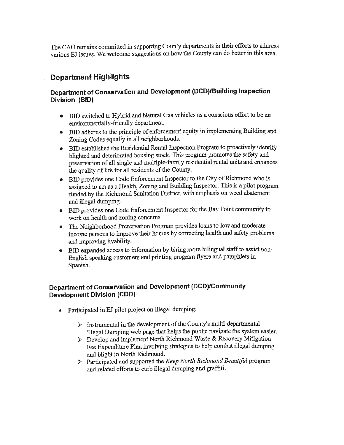The CAO remains committed in supporting County departments in their efforts to address various EJ issues. We welcome suggestions on how the County can do better in this area.

# **Department Highlights**

## **Department of Conservation and Development (DCD)/Building Inspection Division (BID)**

- BID switched to Hybrid and Natural Gas vehicles as a conscious effort to be an environmentally-friendly department.
- BID adheres to the principle of enforcement equity in implementing Building and Zoning Codes equally in all neighborhoods.
- BID established the Residential Rental Inspection Program to proactively identify blighted and deteriorated housing stock. This program promotes the safety and preservation of all single and multiple-family residential rental units and enhances the quality of life for all residents of the County.
- BID provides one Code Enforcement Inspector to the City of Richmond who is assigned to act as a Health, Zoning and Building Inspector. This is a pilot program funded by the Richmond Sanitation District, with emphasis on weed abatement and illegal dumping.
- BID provides one Code Enforcement Inspector for the Bay Point community to work on health and zoning concerns.
- The Neighborhood Preservation Program provides loans to low and moderateincome persons to improve their homes by correcting health and safety problems and improving livability.
- BID expanded access to information by hiring more bilingual staff to assist non-English speaking customers and printing program flyers and pamphlets in Spanish.

### **Department of Conservation and Development (DCD)/Community Development Division (COD)**

- Participated in EJ pilot project on illegal dumping:
	- }> Instrumental in the development of the County's multi-departmental Illegal Dumping web page that helps the public navigate the system easier.
	- }> Develop and implement North Richmond Waste & Recovery Mitigation Fee Expenditure Plan involving strategies to help combat illegal dumping and blight in North Richmond.
	- >" Participated and supported the *Keep North Richmond Beautiful* program and related efforts to curb illegal dumping and graffiti.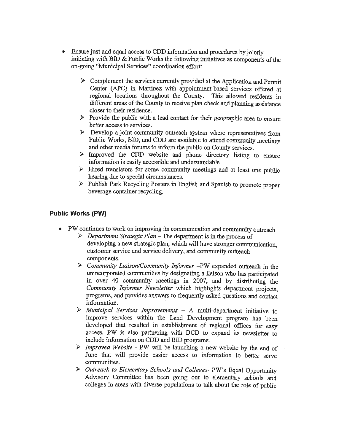- Ensure just and equal access to CDD information and procedures by jointly initiating with BID & Public Works the following initiatives as components of the on-going "Municipal Services" coordination effort:
	- $\triangleright$  Complement the services currently provided at the Application and Permit Center (APC) in Martinez with appointment-based services offered at regional locations throughout the County. This allowed residents in different areas of the County to receive plan check and planning assistance closer to their residence.
	- $\triangleright$  Provide the public with a lead contact for their geographic area to ensure better access to services.
	- $\triangleright$  Develop a joint community outreach system where representatives from Public Works, BID, and CDD are available to attend community meetings and other media forums to infonn the public on County services.
	- )> Improved the CDD website and phone directory listing to ensure information is easily accessible and understandable
	- $\triangleright$  Hired translators for some community meetings and at least one public hearing due to special circumstances.
	- )> Publish Park Recycling Posters in English and Spanish to promote proper beverage container recycling.

#### **Public Works (PW)**

- PW continues to work on improving its communication and community outreach
	- }> *Department Strategic Plan*  The department is in the process of developing a new strategic plan, which will have stronger communication, customer service and service delivery, and community outreach components.
	- )> *Community Liaison/Community Informer* -PW expanded outreach in the unincorporated communities by designating a liaison who has participated in over 40 community meetings in 2007, and by distributing the *Community Informer Newsletter* which highlights department projects, programs, and provides answers to frequently asked questions and contact information.
	- )> *Municipal Services Improvements*  A multi-department initiative to improve services within the Land Development program has been developed that resulted in establishment of regional offices for easy access. PW is also partnering with DCD to expand its newsletter to include infonnation on CDD and BID programs.
	- )> *Improved Website*  PW will be launching a new website by the end of June that will provide easier access to information to better serve communities.
	- )> *Outreach to Elementary Schools and Colleges-* PW's Equal Opportunity Advisory Committee has been going out to elementary schools and colleges in areas with diverse populations to talk about the role of public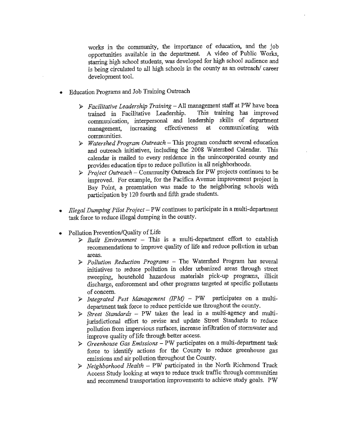works in the community, the importance of education, and the job opportunities available in the department. A video of Public Works, starring high school students, was developed for high school audience and is being circulated to all high schools in the county as an outreach/ career development tool.

- Education Programs and Job Training Outreach
	- > *Facilitative Leadership Training* All management staff at PW have been<br>trained in Facilitative Leadership. This training has improved trained in Facilitative Leadership. communication, interpersonal and leadership skills of department management, increasing effectiveness at communicating with communities.
	- *» Watershed Program Outreach-This* program conducts several education and outreach initiatives, including the 2008 Watershed Calendar. calendar is mailed to every residence in the unincorporated county and provides education tips to reduce pollution in all neighborhoods.
	- *» Project Outreach*  Community Outreach for PW projects continues to be improved. For example, for the Pacifica A venue improvement project in Bay Point, a presentation was made to the neighboring schools with participation by 120 fourth and fifth grade students.
- *lllegal Dumping Pilot Project*  PW continues to participate in a multi-department task force to reduce illegal dumping in the county.
- Pollution Prevention/Quality of Life
	- $\triangleright$  *Built Environment* This is a multi-department effort to establish recommendations to improve quality of life and reduce pollution in urban areas.
	- *» Pollution Reduction Programs*  The Watershed Program has several initiatives to reduce pollution in older urbanized areas through street sweeping, household hazardous materials pick-up programs, illicit discharge, enforcement and other programs targeted at specific pollutants of concern.
	- *» Integrated Pest Management (!PM)*  PW participates on a multidepartment task force to reduce pesticide use throughout the county.
	- *» Street Standards*  PW takes the lead in a multi-agency and multijurisdictional effort to revise and update Street Standards to reduce pollution from impervious surfaces, increase infiltration of stormwater and improve quality of life through better access.
	- > *Greenhouse Gas Emissions*  PW participates on a multi-department task force to identify actions for the County to reduce greenhouse gas emissions and air pollution throughout the County.
	- *» Neighborhood Health*  PW participated in the North Richmond Truck Access Study looking at ways to reduce truck traffic through communities and recommend transportation improvements to achieve study goals. PW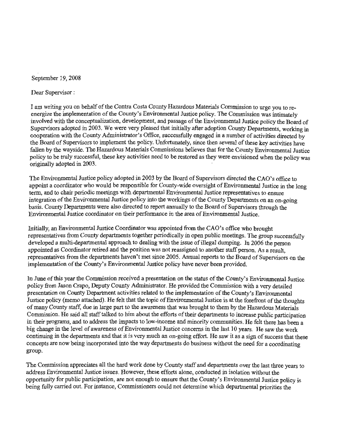September 19, 2008

Dear Supervisor :

I am writing you on behalf of the Contra Costa County Hazardous Materials Commission to urge you to reenergize the implementation of the County's Environmental Justice policy. The Commission was intimately involved with the conceptualization, development, and passage of the Environmental Justice policy the Board of Supervisors adopted in 2003. We were very pleased that initially after adoption County Departments, working in cooperation with the County Administrator's Office, successfully engaged in a number of activities directed by the Board of Supervisors to implement the policy. Unfortunately, since then several of these key activities have fallen by the wayside. The Hazardous Materials Commissions believes that for the County Environmental Justice policy to be truly successful, these key activities need to be restored as they were envisioned when the policy was originally adopted in 2003.

The Environmental Justice policy adopted in 2003 by the Board of Supervisors directed the CAO's office to appoint a coordinator who would be responsible for County-wide oversight of Environmental Justice in the long term, and to chair periodic meetings with departmental Environmental Justice representatives to ensure integration of the Environmental Justice policy into the workings of the County Departments on an on-going basis. County Departments were also directed to report annually to the Board of Supervisors through the Environmental Justice coordinator on their performance in the area of Environmental Justice.

Initially, an Environmental Justice Coordinator was appointed from the CAO's office who brought representatives from County departments together periodically in open public meetings. The group successfully developed a multi-departmental approach to dealing with the issue of illegal dumping. In 2006 the person appointed as Coordinator retired and the position was not reassigned to another staff person. As a result, representatives from the departments haven't met since 2005. Annual reports to the Board of Supervisors on the implementation of the County's Environmental Justice policy have never been provided.

In June of this year the Commission received a presentation on the status of the County's Environmental Justice policy from Jason Crapo, Deputy County Administrator. He provided the Commission with a very detailed presentation on County Department activities related to the implementation of the County's Environmental Justice policy (memo attached). He felt that the topic of Environmental Justice is at the forefront of the thoughts of many County staff, due in large part to the awareness that was brought to them by the Hazardous Materials Commission. He said all staff talked to him about the efforts of their departments to increase public participation in their programs, and to address the impacts to low-income and minority communities. He felt there has been a big change in the level of awareness of Environmental Justice concerns in the last 10 years. He saw the work continuing in the departments and that it is very much an on-going effort. He saw it as a sign of success that these concepts are now being incorporated into the way departments do business without the need for a coordinating group.

The Commission appreciates all the hard work done by County staff and departments over the last three years to address Environmental Justice issues. However, these efforts alone, conducted in isolation without the opportunity for public participation, are not enough to ensure that the County's Environmental Justice policy is being fully carried out. For instance, Commissioners could not determine which departmental priorities the